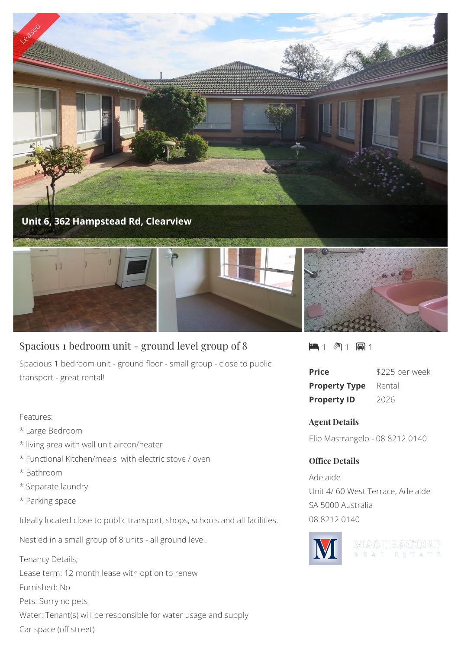

# Spacious 1 bedroom unit - ground level group of 8

Spacious 1 bedroom unit - ground floor - small group - close to public transport - great rental!

### Features:

- \* Large Bedroom
- \* living area with wall unit aircon/heater
- \* Functional Kitchen/meals with electric stove / oven
- \* Bathroom
- \* Separate laundry
- \* Parking space

Ideally located close to public transport, shops, schools and all facilities.

Nestled in a small group of 8 units - all ground level.

Tenancy Details; Lease term: 12 month lease with option to renew Furnished: No Pets: Sorry no pets Water: Tenant(s) will be responsible for water usage and supply Car space (off street)



| <b>Price</b>         | \$225 per week |
|----------------------|----------------|
| <b>Property Type</b> | Rental         |
| <b>Property ID</b>   | 2026           |

## **Agent Details**

Elio Mastrangelo - 08 8212 0140

## **Office Details**

Adelaide Unit 4/ 60 West Terrace, Adelaide SA 5000 Australia 08 8212 0140



WASTIRACORP REAL ESTATE